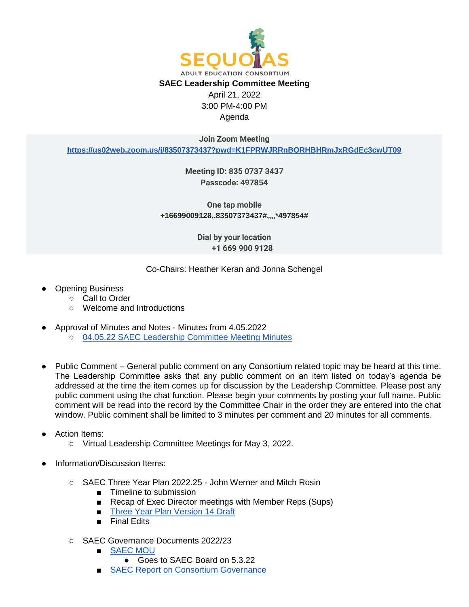

3:00 PM-4:00 PM Agenda

**Join Zoom Meeting**

**[https://us02web.zoom.us/j/83507373437?pwd=K1FPRWJRRnBQRHBHRmJxRGdEc3cwUT09](https://protect-us.mimecast.com/s/o7XMCNk6mgU07APZhywgsO?domain=google.com)**

**Meeting ID: 835 0737 3437 Passcode: 497854**

**One tap mobile +16699009128,,83507373437#,,,,\*497854#** 

> **Dial by your location +1 669 900 9128**

Co-Chairs: Heather Keran and Jonna Schengel

- **Opening Business** 
	- Call to Order
	- Welcome and Introductions
- Approval of Minutes and Notes Minutes from 4.05.2022
	- o [04.05.22 SAEC Leadership Committee Meeting Minutes](https://docs.google.com/document/d/1zUspHMZ5RwDFyPiL7PLq2bQIfQJM0j1C/edit?usp=sharing&ouid=114736191070370070679&rtpof=true&sd=true)
- Public Comment General public comment on any Consortium related topic may be heard at this time. The Leadership Committee asks that any public comment on an item listed on today's agenda be addressed at the time the item comes up for discussion by the Leadership Committee. Please post any public comment using the chat function. Please begin your comments by posting your full name. Public comment will be read into the record by the Committee Chair in the order they are entered into the chat window. Public comment shall be limited to 3 minutes per comment and 20 minutes for all comments.

## **Action Items:**

- Virtual Leadership Committee Meetings for May 3, 2022.
- Information/Discussion Items:
	- SAEC Three Year Plan 2022.25 John Werner and Mitch Rosin
		- Timeline to submission
		- Recap of Exec Director meetings with Member Reps (Sups)
		- [Three Year Plan Version 14 Draft](https://drive.google.com/file/d/1hEMEFWv4DDRPPa71TPpaLdoLGMgxPdox/view?usp=sharing)
		- Final Edits
	- SAEC Governance Documents 2022/23
		- [SAEC MOU](https://docs.google.com/document/d/18vMWp7a0uKXf2yBOBCTy6HIJzfpwzhn4/edit?usp=drive_web&ouid=114736191070370070679&rtpof=true)
			- Goes to SAEC Board on 5.3.22
		- **[SAEC Report on Consortium Governance](https://docs.google.com/document/d/11RyFeE6RwkWNaz8gt_-MzkIonNCo_WRU/edit?usp=drive_web&ouid=114736191070370070679&rtpof=true)**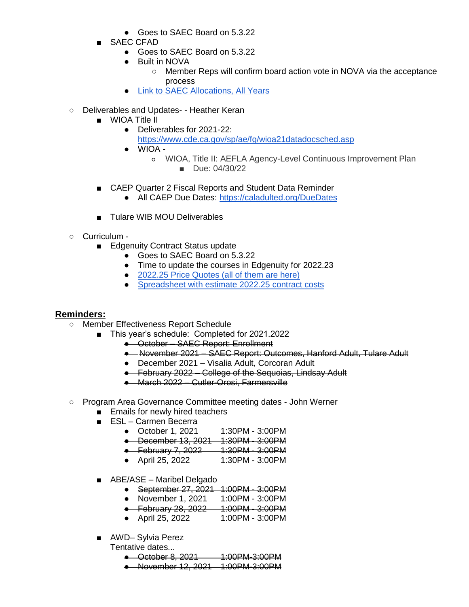- Goes to SAEC Board on 5.3.22
- SAEC CFAD
	- Goes to SAEC Board on 5.3.22
	- Built in NOVA
		- Member Reps will confirm board action vote in NOVA via the acceptance process
	- [Link to SAEC Allocations, All Years](https://docs.google.com/spreadsheets/d/1sC0yYRA67MGmm9uphUvGxzbb5X3tZyzg/edit?usp=sharing&ouid=114736191070370070679&rtpof=true&sd=true)
- Deliverables and Updates- Heather Keran
	- WIOA Title II
		- Deliverables for 2021-22: <https://www.cde.ca.gov/sp/ae/fg/wioa21datadocsched.asp>
		- WIOA
			- WIOA, Title II: AEFLA Agency-Level Continuous Improvement Plan ■ Due: 04/30/22
	- CAEP Quarter 2 Fiscal Reports and Student Data Reminder
		- All CAEP Due Dates:<https://caladulted.org/DueDates>
	- Tulare WIB MOU Deliverables
- Curriculum
	- Edgenuity Contract Status update
		- Goes to SAEC Board on 5.3.22
		- Time to update the courses in Edgenuity for 2022.23
		- [2022.25 Price Quotes \(all of them are here\)](https://drive.google.com/drive/folders/1WsyJeKMcJUEa5otFeBGr4yRahN0zw01v?usp=sharing)
		- [Spreadsheet with estimate 2022.25 contract costs](https://docs.google.com/spreadsheets/d/1P85u6s2Oo5J2ww4jyERBdij5GaLKb4lt7mlgrOgyuL4/edit?usp=sharing)

## **Reminders:**

- Member Effectiveness Report Schedule
	- This year's schedule: Completed for 2021.2022
		- October SAEC Report: Enrollment
		- November 2021 SAEC Report: Outcomes, Hanford Adult, Tulare Adult
		- December 2021 Visalia Adult, Corcoran Adult
		- February 2022 College of the Sequoias, Lindsay Adult
		- March 2022 Cutler-Orosi, Farmersville
- Program Area Governance Committee meeting dates John Werner
	- Emails for newly hired teachers
	- ESL Carmen Becerra
		- October 1, 2021 1:30PM 3:00PM
		- December 13, 2021 1:30PM 3:00PM
		- February 7, 2022 1:30PM 3:00PM
		- April 25, 2022 1:30PM 3:00PM
	- ABE/ASE Maribel Delgado
		- September 27, 2021 1:00PM 3:00PM
		- November 1, 2021 1:00PM 3:00PM
		- February 28, 2022 1:00PM 3:00PM
		- April 25, 2022 1:00PM 3:00PM
	- AWD-Sylvia Perez
		- Tentative dates...
			- October 8, 2021 1:00PM-3:00PM
			- November 12, 2021 1:00PM-3:00PM